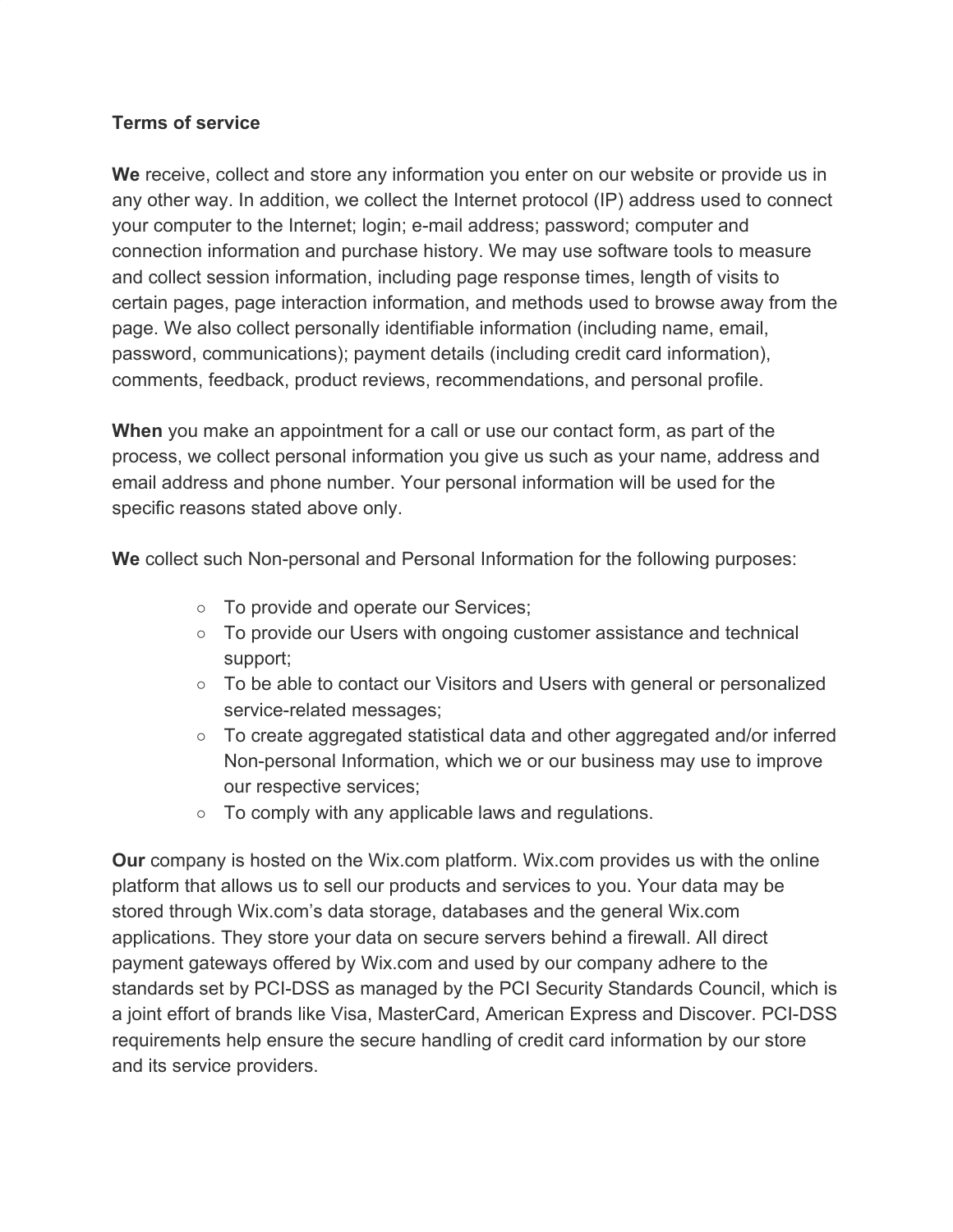## **Terms of service**

**We** receive, collect and store any information you enter on our website or provide us in any other way. In addition, we collect the Internet protocol (IP) address used to connect your computer to the Internet; login; e-mail address; password; computer and connection information and purchase history. We may use software tools to measure and collect session information, including page response times, length of visits to certain pages, page interaction information, and methods used to browse away from the page. We also collect personally identifiable information (including name, email, password, communications); payment details (including credit card information), comments, feedback, product reviews, recommendations, and personal profile.

**When** you make an appointment for a call or use our contact form, as part of the process, we collect personal information you give us such as your name, address and email address and phone number. Your personal information will be used for the specific reasons stated above only.

**We** collect such Non-personal and Personal Information for the following purposes:

- To provide and operate our Services;
- To provide our Users with ongoing customer assistance and technical support;
- To be able to contact our Visitors and Users with general or personalized service-related messages;
- To create aggregated statistical data and other aggregated and/or inferred Non-personal Information, which we or our business may use to improve our respective services;
- To comply with any applicable laws and regulations.

**Our** company is hosted on the Wix.com platform. Wix.com provides us with the online platform that allows us to sell our products and services to you. Your data may be stored through Wix.com's data storage, databases and the general Wix.com applications. They store your data on secure servers behind a firewall. All direct payment gateways offered by Wix.com and used by our company adhere to the standards set by PCI-DSS as managed by the PCI Security Standards Council, which is a joint effort of brands like Visa, MasterCard, American Express and Discover. PCI-DSS requirements help ensure the secure handling of credit card information by our store and its service providers.